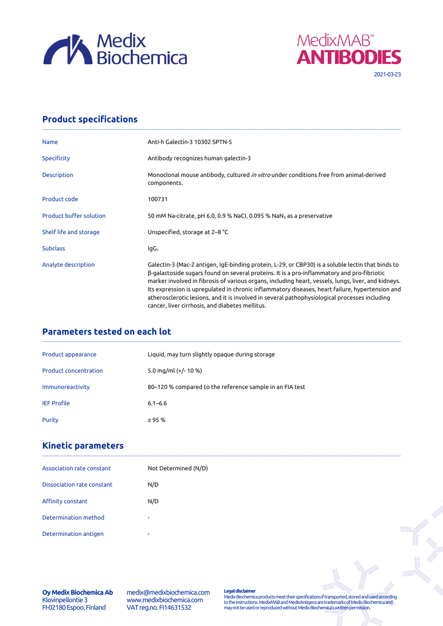



# **Product specifications**

| <b>Name</b>                    | Anti-h Galectin-3 10302 SPTN-5                                                                                                                                                                                                                                                                                                                                                                                                                                                                                                                                |
|--------------------------------|---------------------------------------------------------------------------------------------------------------------------------------------------------------------------------------------------------------------------------------------------------------------------------------------------------------------------------------------------------------------------------------------------------------------------------------------------------------------------------------------------------------------------------------------------------------|
| <b>Specificity</b>             | Antibody recognizes human galectin-3                                                                                                                                                                                                                                                                                                                                                                                                                                                                                                                          |
| Description                    | Monoclonal mouse antibody, cultured <i>in vitro</i> under conditions free from animal-derived<br>components.                                                                                                                                                                                                                                                                                                                                                                                                                                                  |
| Product code                   | 100731                                                                                                                                                                                                                                                                                                                                                                                                                                                                                                                                                        |
| <b>Product buffer solution</b> | 50 mM Na-citrate, pH 6.0, 0.9 % NaCl, 0.095 % NaN $_3$ as a preservative                                                                                                                                                                                                                                                                                                                                                                                                                                                                                      |
| Shelf life and storage         | Unspecified, storage at 2–8 °C                                                                                                                                                                                                                                                                                                                                                                                                                                                                                                                                |
| <b>Subclass</b>                | $IqG_1$                                                                                                                                                                                                                                                                                                                                                                                                                                                                                                                                                       |
| Analyte description            | Galectin-3 (Mac-2 antigen, IgE-binding protein, L-29, or CBP30) is a soluble lectin that binds to<br>β-galactoside sugars found on several proteins. It is a pro-inflammatory and pro-fibriotic<br>marker involved in fibrosis of various organs, including heart, vessels, lungs, liver, and kidneys.<br>Its expression is upregulated in chronic inflammatory diseases, heart failure, hypertension and<br>atherosclerotic lesions, and it is involved in several pathophysiological processes including<br>cancer, liver cirrhosis, and diabetes mellitus. |

# **Parameters tested on each lot**

| Product appearance           | Liquid, may turn slightly opaque during storage          |
|------------------------------|----------------------------------------------------------|
| <b>Product concentration</b> | 5.0 mg/ml $(+/- 10 %$                                    |
| Immunoreactivity             | 80–120 % compared to the reference sample in an FIA test |
| <b>IEF Profile</b>           | $6.1 - 6.6$                                              |
| Purity                       | $\geq$ 95 %                                              |

## **Kinetic parameters**

| Association rate constant  | Not Determined (N/D) |
|----------------------------|----------------------|
| Dissociation rate constant | N/D                  |
| Affinity constant          | N/D                  |
| Determination method       |                      |
| Determination antigen      |                      |

**Oy Medix Biochemica Ab** Klovinpellontie 3 FI-02180 Espoo, Finland

medix@medixbiochemica.com www.medixbiochemica.com VAT reg.no. FI14631532

**Legal disclaimer** Medix Biochemica products meet their specifications if transported, stored and used according to the instructions. MedixMAB and MedixAntigens are trademarks of Medix Biochemica and may not be used or reproduced without Medix Biochemica's written permission.